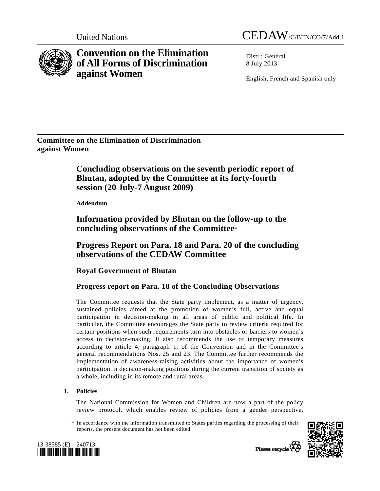



**Convention on the Elimination of All Forms of Discrimination against Women** 

Distr · General 8 July 2013

English, French and Spanish only

**Committee on the Elimination of Discrimination against Women** 

> **Concluding observations on the seventh periodic report of Bhutan, adopted by the Committee at its forty-fourth session (20 July-7 August 2009)**

 **Addendum** 

 **Information provided by Bhutan on the follow-up to the concluding observations of the Committee**\*

 **Progress Report on Para. 18 and Para. 20 of the concluding observations of the CEDAW Committee** 

 **Royal Government of Bhutan** 

# **Progress report on Para. 18 of the Concluding Observations**

The Committee requests that the State party implement, as a matter of urgency, sustained policies aimed at the promotion of women's full, active and equal participation in decision-making in all areas of public and political life. In particular, the Committee encourages the State party to review criteria required for certain positions when such requirements turn into obstacles or barriers to women's access to decision-making. It also recommends the use of temporary measures according to article 4, paragraph 1, of the Convention and in the Committee's general recommendations Nos. 25 and 23. The Committee further recommends the implementation of awareness-raising activities about the importance of women's participation in decision-making positions during the current transition of society as a whole, including in its remote and rural areas.

## **1. Policies**

The National Commission for Women and Children are now a part of the policy review protocol, which enables review of policies from a gender perspective.

 <sup>\*</sup> In accordance with the information transmitted to States parties regarding the processing of their reports, the present document has not been edited.





Please recycle<sup>Q</sup>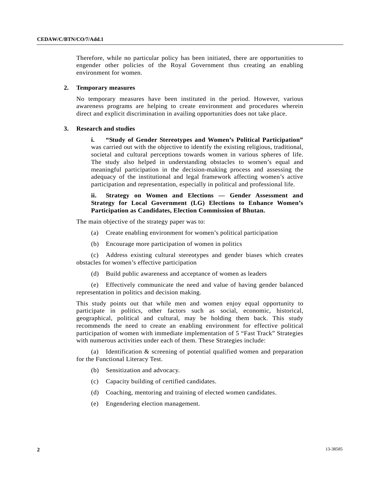Therefore, while no particular policy has been initiated, there are opportunities to engender other policies of the Royal Government thus creating an enabling environment for women.

#### **2. Temporary measures**

No temporary measures have been instituted in the period. However, various awareness programs are helping to create environment and procedures wherein direct and explicit discrimination in availing opportunities does not take place.

#### **3. Research and studies**

**i. "Study of Gender Stereotypes and Women's Political Participation"** was carried out with the objective to identify the existing religious, traditional, societal and cultural perceptions towards women in various spheres of life. The study also helped in understanding obstacles to women's equal and meaningful participation in the decision-making process and assessing the adequacy of the institutional and legal framework affecting women's active participation and representation, especially in political and professional life.

## **ii. Strategy on Women and Elections — Gender Assessment and Strategy for Local Government (LG) Elections to Enhance Women's Participation as Candidates, Election Commission of Bhutan.**

The main objective of the strategy paper was to:

- (a) Create enabling environment for women's political participation
- (b) Encourage more participation of women in politics

 (c) Address existing cultural stereotypes and gender biases which creates obstacles for women's effective participation

(d) Build public awareness and acceptance of women as leaders

 (e) Effectively communicate the need and value of having gender balanced representation in politics and decision making.

This study points out that while men and women enjoy equal opportunity to participate in politics, other factors such as social, economic, historical, geographical, political and cultural, may be holding them back. This study recommends the need to create an enabling environment for effective political participation of women with immediate implementation of 5 "Fast Track" Strategies with numerous activities under each of them. These Strategies include:

 (a) Identification & screening of potential qualified women and preparation for the Functional Literacy Test.

- (b) Sensitization and advocacy.
- (c) Capacity building of certified candidates.
- (d) Coaching, mentoring and training of elected women candidates.
- (e) Engendering election management.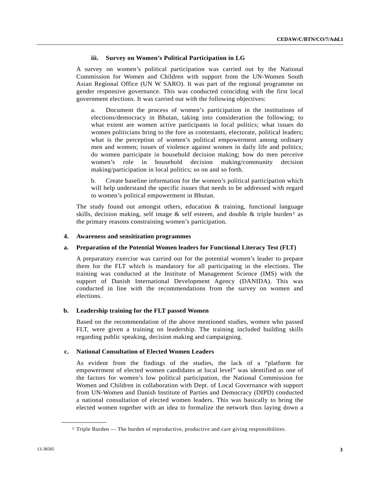## **iii. Survey on Women's Political Participation in LG**

A survey on women's political participation was carried out by the National Commission for Women and Children with support from the UN-Women South Asian Regional Office (UN W SARO). It was part of the regional programme on gender responsive governance. This was conducted coinciding with the first local government elections. It was carried out with the following objectives:

 a. Document the process of women's participation in the institutions of elections/democracy in Bhutan, taking into consideration the following; to what extent are women active participants in local politics; what issues do women politicians bring to the fore as contestants, electorate, political leaders; what is the perception of women's political empowerment among ordinary men and women; issues of violence against women in daily life and politics; do women participate in household decision making; how do men perceive women's role in household decision making/community decision making/participation in local politics; so on and so forth.

 b. Create baseline information for the women's political participation which will help understand the specific issues that needs to be addressed with regard to women's political empowerment in Bhutan.

The study found out amongst others, education  $\&$  training, functional language skills, decision making, self image  $\&$  self esteem, and double  $\&$  triple burden<sup>1</sup> as the primary reasons constraining women's participation.

#### **4. Awareness and sensitization programmes**

#### **a. Preparation of the Potential Women leaders for Functional Literacy Test (FLT)**

A preparatory exercise was carried out for the potential women's leader to prepare them for the FLT which is mandatory for all participating in the elections. The training was conducted at the Institute of Management Science (IMS) with the support of Danish International Development Agency (DANIDA). This was conducted in line with the recommendations from the survey on women and elections.

#### **b. Leadership training for the FLT passed Women**

Based on the recommendation of the above mentioned studies, women who passed FLT, were given a training on leadership. The training included building skills regarding public speaking, decision making and campaigning.

#### **c. National Consultation of Elected Women Leaders**

As evident from the findings of the studies, the lack of a "platform for empowerment of elected women candidates at local level" was identified as one of the factors for women's low political participation, the National Commission for Women and Children in collaboration with Dept. of Local Governance with support from UN-Women and Danish Institute of Parties and Democracy (DIPD) conducted a national consultation of elected women leaders. This was basically to bring the elected women together with an idea to formalize the network thus laying down a

<span id="page-2-0"></span>**\_\_\_\_\_\_\_\_\_\_\_\_\_\_\_\_\_\_** 

 $1$  Triple Burden — The burden of reproductive, productive and care giving responsibilities.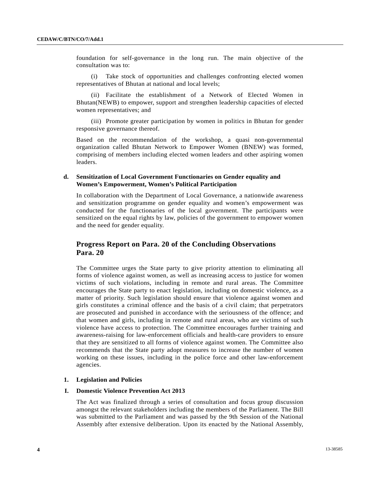foundation for self-governance in the long run. The main objective of the consultation was to:

 (i) Take stock of opportunities and challenges confronting elected women representatives of Bhutan at national and local levels;

 (ii) Facilitate the establishment of a Network of Elected Women in Bhutan(NEWB) to empower, support and strengthen leadership capacities of elected women representatives; and

 (iii) Promote greater participation by women in politics in Bhutan for gender responsive governance thereof.

Based on the recommendation of the workshop, a quasi non-governmental organization called Bhutan Network to Empower Women (BNEW) was formed, comprising of members including elected women leaders and other aspiring women leaders.

## **d. Sensitization of Local Government Functionaries on Gender equality and Women's Empowerment, Women's Political Participation**

In collaboration with the Department of Local Governance, a nationwide awareness and sensitization programme on gender equality and women's empowerment was conducted for the functionaries of the local government. The participants were sensitized on the equal rights by law, policies of the government to empower women and the need for gender equality.

## **Progress Report on Para. 20 of the Concluding Observations Para. 20**

The Committee urges the State party to give priority attention to eliminating all forms of violence against women, as well as increasing access to justice for women victims of such violations, including in remote and rural areas. The Committee encourages the State party to enact legislation, including on domestic violence, as a matter of priority. Such legislation should ensure that violence against women and girls constitutes a criminal offence and the basis of a civil claim; that perpetrators are prosecuted and punished in accordance with the seriousness of the offence; and that women and girls, including in remote and rural areas, who are victims of such violence have access to protection. The Committee encourages further training and awareness-raising for law-enforcement officials and health-care providers to ensure that they are sensitized to all forms of violence against women. The Committee also recommends that the State party adopt measures to increase the number of women working on these issues, including in the police force and other law-enforcement agencies.

#### **1. Legislation and Policies**

#### **I. Domestic Violence Prevention Act 2013**

The Act was finalized through a series of consultation and focus group discussion amongst the relevant stakeholders including the members of the Parliament. The Bill was submitted to the Parliament and was passed by the 9th Session of the National Assembly after extensive deliberation. Upon its enacted by the National Assembly,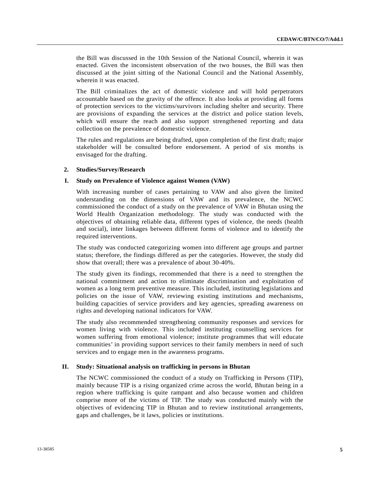the Bill was discussed in the 10th Session of the National Council, wherein it was enacted. Given the inconsistent observation of the two houses, the Bill was then discussed at the joint sitting of the National Council and the National Assembly, wherein it was enacted.

The Bill criminalizes the act of domestic violence and will hold perpetrators accountable based on the gravity of the offence. It also looks at providing all forms of protection services to the victims/survivors including shelter and security. There are provisions of expanding the services at the district and police station levels, which will ensure the reach and also support strengthened reporting and data collection on the prevalence of domestic violence.

The rules and regulations are being drafted, upon completion of the first draft; major stakeholder will be consulted before endorsement. A period of six months is envisaged for the drafting.

#### **2. Studies/Survey/Research**

#### **I. Study on Prevalence of Violence against Women (VAW)**

With increasing number of cases pertaining to VAW and also given the limited understanding on the dimensions of VAW and its prevalence, the NCWC commissioned the conduct of a study on the prevalence of VAW in Bhutan using the World Health Organization methodology. The study was conducted with the objectives of obtaining reliable data, different types of violence, the needs (health and social), inter linkages between different forms of violence and to identify the required interventions.

The study was conducted categorizing women into different age groups and partner status; therefore, the findings differed as per the categories. However, the study did show that overall; there was a prevalence of about 30-40%.

The study given its findings, recommended that there is a need to strengthen the national commitment and action to eliminate discrimination and exploitation of women as a long term preventive measure. This included, instituting legislations and policies on the issue of VAW, reviewing existing institutions and mechanisms, building capacities of service providers and key agencies, spreading awareness on rights and developing national indicators for VAW.

The study also recommended strengthening community responses and services for women living with violence. This included instituting counselling services for women suffering from emotional violence; institute programmes that will educate communities' in providing support services to their family members in need of such services and to engage men in the awareness programs.

#### **II. Study: Situational analysis on trafficking in persons in Bhutan**

The NCWC commissioned the conduct of a study on Trafficking in Persons (TIP), mainly because TIP is a rising organized crime across the world, Bhutan being in a region where trafficking is quite rampant and also because women and children comprise more of the victims of TIP. The study was conducted mainly with the objectives of evidencing TIP in Bhutan and to review institutional arrangements, gaps and challenges, be it laws, policies or institutions.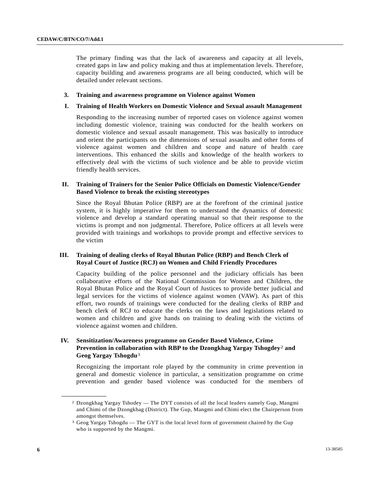The primary finding was that the lack of awareness and capacity at all levels, created gaps in law and policy making and thus at implementation levels. Therefore, capacity building and awareness programs are all being conducted, which will be detailed under relevant sections.

#### **3. Training and awareness programme on Violence against Women**

#### **I. Training of Health Workers on Domestic Violence and Sexual assault Management**

Responding to the increasing number of reported cases on violence against women including domestic violence, training was conducted for the health workers on domestic violence and sexual assault management. This was basically to introduce and orient the participants on the dimensions of sexual assaults and other forms of violence against women and children and scope and nature of health care interventions. This enhanced the skills and knowledge of the health workers to effectively deal with the victims of such violence and be able to provide victim friendly health services.

## **II. Training of Trainers for the Senior Police Officials on Domestic Violence/Gender Based Violence to break the existing stereotypes**

Since the Royal Bhutan Police (RBP) are at the forefront of the criminal justice system, it is highly imperative for them to understand the dynamics of domestic violence and develop a standard operating manual so that their response to the victims is prompt and non judgmental. Therefore, Police officers at all levels were provided with trainings and workshops to provide prompt and effective services to the victim

## **III. Training of dealing clerks of Royal Bhutan Police (RBP) and Bench Clerk of Royal Court of Justice (RCJ) on Women and Child Friendly Procedures**

Capacity building of the police personnel and the judiciary officials has been collaborative efforts of the National Commission for Women and Children, the Royal Bhutan Police and the Royal Court of Justices to provide better judicial and legal services for the victims of violence against women (VAW). As part of this effort, two rounds of trainings were conducted for the dealing clerks of RBP and bench clerk of RCJ to educate the clerks on the laws and legislations related to women and children and give hands on training to dealing with the victims of violence against women and children.

## **IV. Sensitization/Awareness programme on Gender Based Violence, Crime Prevention in collaboration with RBP to the Dzongkhag Yargay Tshogdey**[2](#page-5-0) **and Geog Yargay Tshogdu**[3](#page-5-1)

Recognizing the important role played by the community in crime prevention in general and domestic violence in particular, a sensitization programme on crime prevention and gender based violence was conducted for the members of

<span id="page-5-1"></span><span id="page-5-0"></span>**\_\_\_\_\_\_\_\_\_\_\_\_\_\_\_\_\_\_** 

<sup>2</sup> Dzongkhag Yargay Tshodey — The DYT consists of all the local leaders namely Gup, Mangmi and Chimi of the Dzongkhag (District). The Gup, Mangmi and Chimi elect the Chairperson from amongst themselves.

<sup>3</sup> Geog Yargay Tshogdu — The GYT is the local level form of government chaired by the Gup who is supported by the Mangmi.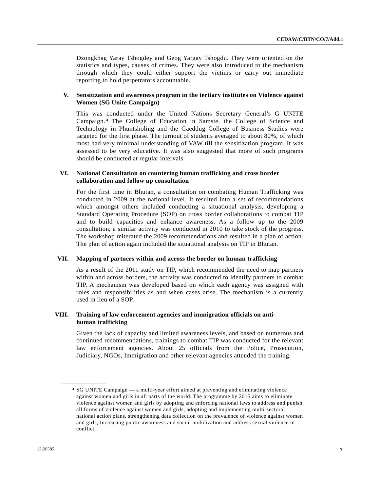Dzongkhag Yaray Tshogdey and Geog Yargay Tshogdu. They were oriented on the statistics and types, causes of crimes. They were also introduced to the mechanism through which they could either support the victims or carry out immediate reporting to hold perpetrators accountable.

## **V. Sensitization and awareness program in the tertiary institutes on Violence against Women (SG Unite Campaign)**

This was conducted under the United Nations Secretary General's G UNITE Campaign.[4](#page-6-0) The College of Education in Samste, the College of Science and Technology in Phuntsholing and the Gaeddug College of Business Studies were targeted for the first phase. The turnout of students averaged to about 80%, of which most had very minimal understanding of VAW till the sensitization program. It was assessed to be very educative. It was also suggested that more of such programs should be conducted at regular intervals.

## **VI. National Consultation on countering human trafficking and cross border collaboration and follow up consultation**

For the first time in Bhutan, a consultation on combating Human Trafficking was conducted in 2009 at the national level. It resulted into a set of recommendations which amongst others included conducting a situational analysis, developing a Standard Operating Procedure (SOP) on cross border collaborations to combat TIP and to build capacities and enhance awareness. As a follow up to the 2009 consultation, a similar activity was conducted in 2010 to take stock of the progress. The workshop reiterated the 2009 recommendations and resulted in a plan of action. The plan of action again included the situational analysis on TIP in Bhutan.

## **VII. Mapping of partners within and across the border on human trafficking**

As a result of the 2011 study on TIP, which recommended the need to map partners within and across borders, the activity was conducted to identify partners to combat TIP. A mechanism was developed based on which each agency was assigned with roles and responsibilities as and when cases arise. The mechanism is a currently used in lieu of a SOP.

## **VIII. Training of law enforcement agencies and immigration officials on antihuman trafficking**

Given the lack of capacity and limited awareness levels, and based on numerous and continued recommendations, trainings to combat TIP was conducted for the relevant law enforcement agencies. About 25 officials from the Police, Prosecution, Judiciary, NGOs, Immigration and other relevant agencies attended the training.

<span id="page-6-0"></span>**\_\_\_\_\_\_\_\_\_\_\_\_\_\_\_\_\_\_** 

<sup>4</sup> SG UNITE Campaign — a multi-year effort aimed at preventing and eliminating violence against women and girls in all parts of the world. The programme by 2015 aims to eliminate violence against women and girls by adopting and enforcing national laws to address and punish all forms of violence against women and girls, adopting and implementing multi-sectoral national action plans, strengthening data collection on the prevalence of violence against women and girls, Increasing public awareness and social mobilization and address sexual violence in conflict.